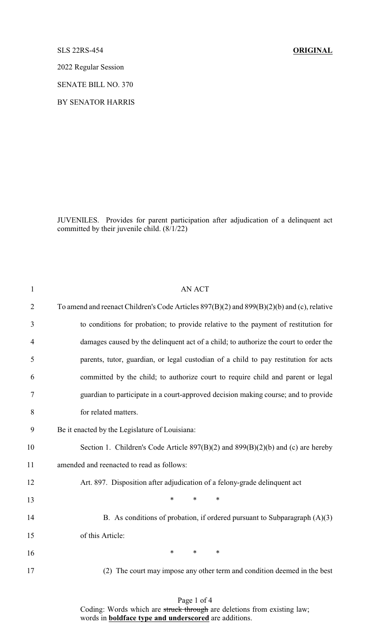## SLS 22RS-454 **ORIGINAL**

2022 Regular Session

SENATE BILL NO. 370

BY SENATOR HARRIS

JUVENILES. Provides for parent participation after adjudication of a delinquent act committed by their juvenile child.  $(8/1/22)$ 

| $\mathbf{1}$   | <b>AN ACT</b>                                                                                  |
|----------------|------------------------------------------------------------------------------------------------|
| $\overline{2}$ | To amend and reenact Children's Code Articles $897(B)(2)$ and $899(B)(2)(b)$ and (c), relative |
| 3              | to conditions for probation; to provide relative to the payment of restitution for             |
| $\overline{4}$ | damages caused by the delinquent act of a child; to authorize the court to order the           |
| 5              | parents, tutor, guardian, or legal custodian of a child to pay restitution for acts            |
| 6              | committed by the child; to authorize court to require child and parent or legal                |
| 7              | guardian to participate in a court-approved decision making course; and to provide             |
| 8              | for related matters.                                                                           |
| 9              | Be it enacted by the Legislature of Louisiana:                                                 |
| 10             | Section 1. Children's Code Article $897(B)(2)$ and $899(B)(2)(b)$ and (c) are hereby           |
| 11             | amended and reenacted to read as follows:                                                      |
| 12             | Art. 897. Disposition after adjudication of a felony-grade delinquent act                      |
| 13             | $\ast$<br>$\ast$<br>∗                                                                          |
| 14             | B. As conditions of probation, if ordered pursuant to Subparagraph $(A)(3)$                    |
| 15             | of this Article:                                                                               |
| 16             | $\ast$<br>*<br>$\ast$                                                                          |
| 17             | (2) The court may impose any other term and condition deemed in the best                       |
|                |                                                                                                |

Page 1 of 4

Coding: Words which are struck through are deletions from existing law; words in **boldface type and underscored** are additions.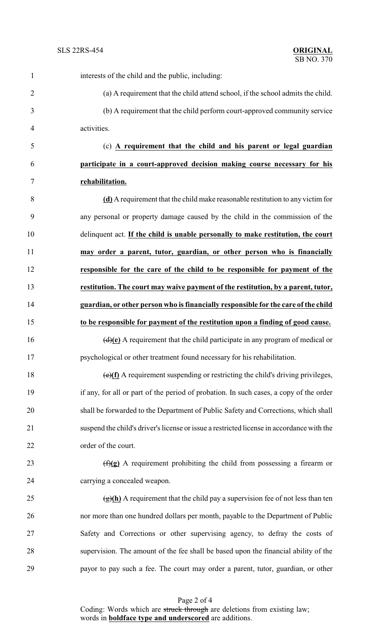| $\mathbf{1}$   | interests of the child and the public, including:                                                |
|----------------|--------------------------------------------------------------------------------------------------|
| $\overline{2}$ | (a) A requirement that the child attend school, if the school admits the child.                  |
| 3              | (b) A requirement that the child perform court-approved community service                        |
| 4              | activities.                                                                                      |
| 5              | (c) A requirement that the child and his parent or legal guardian                                |
| 6              | participate in a court-approved decision making course necessary for his                         |
| 7              | rehabilitation.                                                                                  |
| 8              | (d) A requirement that the child make reasonable restitution to any victim for                   |
| 9              | any personal or property damage caused by the child in the commission of the                     |
| 10             | delinquent act. If the child is unable personally to make restitution, the court                 |
| 11             | may order a parent, tutor, guardian, or other person who is financially                          |
| 12             | responsible for the care of the child to be responsible for payment of the                       |
| 13             | restitution. The court may waive payment of the restitution, by a parent, tutor,                 |
| 14             | guardian, or other person who is financially responsible for the care of the child               |
| 15             | to be responsible for payment of the restitution upon a finding of good cause.                   |
| 16             | $\left(\frac{d}{e}\right)$ A requirement that the child participate in any program of medical or |
| 17             | psychological or other treatment found necessary for his rehabilitation.                         |
| 18             | $\overline{(e)(f)}$ A requirement suspending or restricting the child's driving privileges,      |
| 19             | if any, for all or part of the period of probation. In such cases, a copy of the order           |
| 20             | shall be forwarded to the Department of Public Safety and Corrections, which shall               |
| 21             | suspend the child's driver's license or issue a restricted license in accordance with the        |
| 22             | order of the court.                                                                              |
| 23             | $(f)(g)$ A requirement prohibiting the child from possessing a firearm or                        |
| 24             | carrying a concealed weapon.                                                                     |
| 25             | $\frac{g(h)}{h}$ A requirement that the child pay a supervision fee of not less than ten         |
| 26             | nor more than one hundred dollars per month, payable to the Department of Public                 |
| 27             | Safety and Corrections or other supervising agency, to defray the costs of                       |
| 28             | supervision. The amount of the fee shall be based upon the financial ability of the              |
| 29             | payor to pay such a fee. The court may order a parent, tutor, guardian, or other                 |

Page 2 of 4 Coding: Words which are struck through are deletions from existing law; words in **boldface type and underscored** are additions.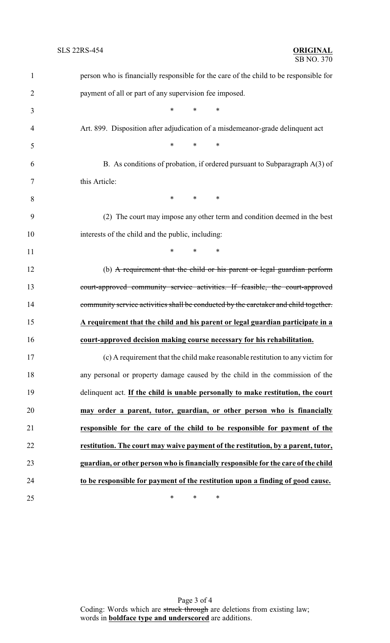| $\mathbf{1}$   | person who is financially responsible for the care of the child to be responsible for |
|----------------|---------------------------------------------------------------------------------------|
| $\overline{2}$ | payment of all or part of any supervision fee imposed.                                |
| 3              | $\ast$<br>$\ast$<br>$\ast$                                                            |
| 4              | Art. 899. Disposition after adjudication of a misdemeanor-grade delinquent act        |
| 5              | $*$ $*$<br>$\ast$<br>$\ast$                                                           |
| 6              | B. As conditions of probation, if ordered pursuant to Subparagraph $A(3)$ of          |
| 7              | this Article:                                                                         |
| 8              | $*$ $*$<br>$\ast$<br>$\ast$                                                           |
| 9              | (2) The court may impose any other term and condition deemed in the best              |
| 10             | interests of the child and the public, including:                                     |
| 11             | $*$ $*$<br>$\ast$<br>$\ast$                                                           |
| 12             | (b) A requirement that the child or his parent or legal guardian perform              |
| 13             | court-approved community service activities. If feasible, the court-approved          |
| 14             | community service activities shall be conducted by the caretaker and child together.  |
| 15             | A requirement that the child and his parent or legal guardian participate in a        |
| 16             | court-approved decision making course necessary for his rehabilitation.               |
| 17             | (c) A requirement that the child make reasonable restitution to any victim for        |
| 18             | any personal or property damage caused by the child in the commission of the          |
| 19             | delinquent act. If the child is unable personally to make restitution, the court      |
| 20             | may order a parent, tutor, guardian, or other person who is financially               |
| 21             | responsible for the care of the child to be responsible for payment of the            |
| 22             | restitution. The court may waive payment of the restitution, by a parent, tutor,      |
| 23             | guardian, or other person who is financially responsible for the care of the child    |
| 24             | to be responsible for payment of the restitution upon a finding of good cause.        |
| 25             | $\ast$<br>∗<br>∗                                                                      |